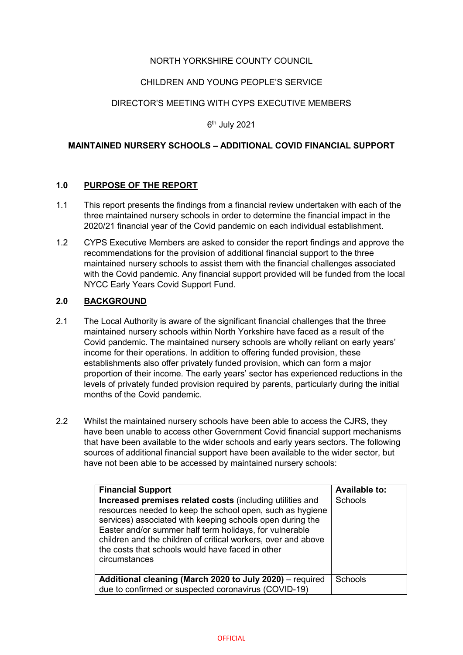## NORTH YORKSHIRE COUNTY COUNCIL

## CHILDREN AND YOUNG PEOPLE'S SERVICE

### DIRECTOR'S MEETING WITH CYPS EXECUTIVE MEMBERS

6th July 2021

#### **MAINTAINED NURSERY SCHOOLS – ADDITIONAL COVID FINANCIAL SUPPORT**

#### **1.0 PURPOSE OF THE REPORT**

- 1.1 This report presents the findings from a financial review undertaken with each of the three maintained nursery schools in order to determine the financial impact in the 2020/21 financial year of the Covid pandemic on each individual establishment.
- 1.2 CYPS Executive Members are asked to consider the report findings and approve the recommendations for the provision of additional financial support to the three maintained nursery schools to assist them with the financial challenges associated with the Covid pandemic. Any financial support provided will be funded from the local NYCC Early Years Covid Support Fund.

#### **2.0 BACKGROUND**

- 2.1 The Local Authority is aware of the significant financial challenges that the three maintained nursery schools within North Yorkshire have faced as a result of the Covid pandemic. The maintained nursery schools are wholly reliant on early years' income for their operations. In addition to offering funded provision, these establishments also offer privately funded provision, which can form a major proportion of their income. The early years' sector has experienced reductions in the levels of privately funded provision required by parents, particularly during the initial months of the Covid pandemic.
- 2.2 Whilst the maintained nursery schools have been able to access the CJRS, they have been unable to access other Government Covid financial support mechanisms that have been available to the wider schools and early years sectors. The following sources of additional financial support have been available to the wider sector, but have not been able to be accessed by maintained nursery schools:

| <b>Financial Support</b>                                                                                                                                                                                                                                                                                                                                                             | <b>Available to:</b> |
|--------------------------------------------------------------------------------------------------------------------------------------------------------------------------------------------------------------------------------------------------------------------------------------------------------------------------------------------------------------------------------------|----------------------|
| Increased premises related costs (including utilities and<br>resources needed to keep the school open, such as hygiene<br>services) associated with keeping schools open during the<br>Easter and/or summer half term holidays, for vulnerable<br>children and the children of critical workers, over and above<br>the costs that schools would have faced in other<br>circumstances | Schools              |
| Additional cleaning (March 2020 to July 2020) – required                                                                                                                                                                                                                                                                                                                             | <b>Schools</b>       |
| due to confirmed or suspected coronavirus (COVID-19)                                                                                                                                                                                                                                                                                                                                 |                      |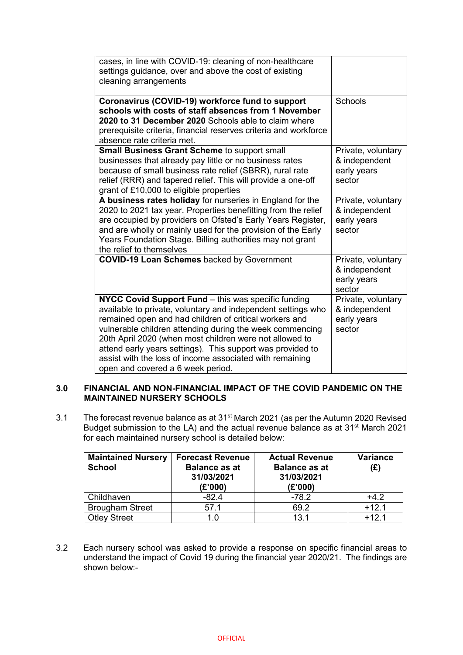| cases, in line with COVID-19: cleaning of non-healthcare<br>settings guidance, over and above the cost of existing<br>cleaning arrangements                                                                                                                                                                                                                                                                                                                         |                                                              |
|---------------------------------------------------------------------------------------------------------------------------------------------------------------------------------------------------------------------------------------------------------------------------------------------------------------------------------------------------------------------------------------------------------------------------------------------------------------------|--------------------------------------------------------------|
| Coronavirus (COVID-19) workforce fund to support<br>schools with costs of staff absences from 1 November<br>2020 to 31 December 2020 Schools able to claim where<br>prerequisite criteria, financial reserves criteria and workforce<br>absence rate criteria met.                                                                                                                                                                                                  | <b>Schools</b>                                               |
| <b>Small Business Grant Scheme to support small</b><br>businesses that already pay little or no business rates<br>because of small business rate relief (SBRR), rural rate<br>relief (RRR) and tapered relief. This will provide a one-off<br>grant of £10,000 to eligible properties                                                                                                                                                                               | Private, voluntary<br>& independent<br>early years<br>sector |
| A business rates holiday for nurseries in England for the<br>2020 to 2021 tax year. Properties benefitting from the relief<br>are occupied by providers on Ofsted's Early Years Register,<br>and are wholly or mainly used for the provision of the Early<br>Years Foundation Stage. Billing authorities may not grant<br>the relief to themselves                                                                                                                  | Private, voluntary<br>& independent<br>early years<br>sector |
| <b>COVID-19 Loan Schemes backed by Government</b>                                                                                                                                                                                                                                                                                                                                                                                                                   | Private, voluntary<br>& independent<br>early years<br>sector |
| NYCC Covid Support Fund - this was specific funding<br>available to private, voluntary and independent settings who<br>remained open and had children of critical workers and<br>vulnerable children attending during the week commencing<br>20th April 2020 (when most children were not allowed to<br>attend early years settings). This support was provided to<br>assist with the loss of income associated with remaining<br>open and covered a 6 week period. | Private, voluntary<br>& independent<br>early years<br>sector |

## **3.0 FINANCIAL AND NON-FINANCIAL IMPACT OF THE COVID PANDEMIC ON THE MAINTAINED NURSERY SCHOOLS**

3.1 The forecast revenue balance as at 31<sup>st</sup> March 2021 (as per the Autumn 2020 Revised Budget submission to the LA) and the actual revenue balance as at 31<sup>st</sup> March 2021 for each maintained nursery school is detailed below:

| <b>Maintained Nursery</b><br><b>School</b> | <b>Forecast Revenue</b><br><b>Balance as at</b><br>31/03/2021<br>(E'000) | <b>Actual Revenue</b><br><b>Balance as at</b><br>31/03/2021<br>(E'000) | Variance<br>(E) |
|--------------------------------------------|--------------------------------------------------------------------------|------------------------------------------------------------------------|-----------------|
| Childhaven                                 | $-82.4$                                                                  | $-78.2$                                                                | $+4.2$          |
| <b>Brougham Street</b>                     | 57.1                                                                     | 69.2                                                                   | $+12.1$         |
| <b>Otley Street</b>                        | 1.0                                                                      | 13.1                                                                   | $+12.1$         |

3.2 Each nursery school was asked to provide a response on specific financial areas to understand the impact of Covid 19 during the financial year 2020/21. The findings are shown below:-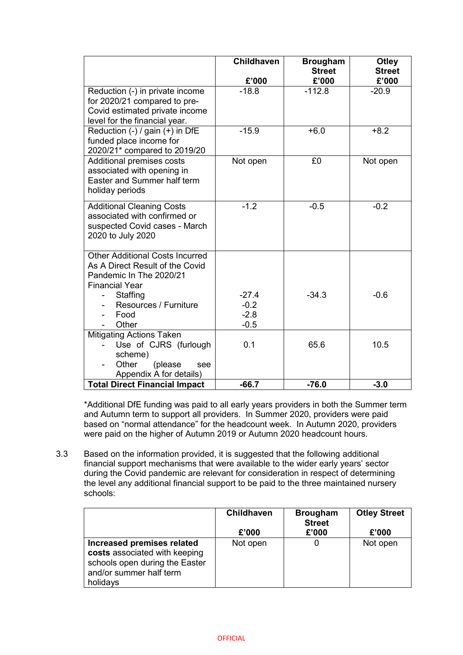|                                                                  | <b>Childhaven</b> | <b>Brougham</b><br><b>Street</b> | <b>Otley</b><br><b>Street</b> |
|------------------------------------------------------------------|-------------------|----------------------------------|-------------------------------|
|                                                                  | £'000             | £'000                            | £'000                         |
| Reduction (-) in private income                                  | $-18.8$           | $-112.8$                         | $-20.9$                       |
| for 2020/21 compared to pre-                                     |                   |                                  |                               |
| Covid estimated private income                                   |                   |                                  |                               |
| level for the financial year.                                    |                   |                                  |                               |
| Reduction $(-)$ / gain $(+)$ in DfE                              | $-15.9$           | $+6.0$                           | $+8.2$                        |
| funded place income for                                          |                   |                                  |                               |
| 2020/21* compared to 2019/20<br>Additional premises costs        | Not open          | £0                               | Not open                      |
| associated with opening in                                       |                   |                                  |                               |
| Easter and Summer half term                                      |                   |                                  |                               |
| holiday periods                                                  |                   |                                  |                               |
|                                                                  |                   |                                  |                               |
| <b>Additional Cleaning Costs</b><br>associated with confirmed or | $-1.2$            | $-0.5$                           | $-0.2$                        |
| suspected Covid cases - March                                    |                   |                                  |                               |
| 2020 to July 2020                                                |                   |                                  |                               |
|                                                                  |                   |                                  |                               |
| <b>Other Additional Costs Incurred</b>                           |                   |                                  |                               |
| As A Direct Result of the Covid                                  |                   |                                  |                               |
| Pandemic In The 2020/21                                          |                   |                                  |                               |
| <b>Financial Year</b>                                            |                   |                                  |                               |
| Staffing                                                         | $-27.4$           | $-34.3$                          | $-0.6$                        |
| Resources / Furniture<br>Food                                    | $-0.2$<br>$-2.8$  |                                  |                               |
| Other                                                            | $-0.5$            |                                  |                               |
| <b>Mitigating Actions Taken</b>                                  |                   |                                  |                               |
| Use of CJRS (furlough                                            | 0.1               | 65.6                             | 10.5                          |
| scheme)                                                          |                   |                                  |                               |
| (please<br>Other<br>see                                          |                   |                                  |                               |
| Appendix A for details)                                          |                   |                                  |                               |
| <b>Total Direct Financial Impact</b>                             | $-66.7$           | $-76.0$                          | $-3.0$                        |

\*Additional DfE funding was paid to all early years providers in both the Summer term and Autumn term to support all providers. In Summer 2020, providers were paid based on "normal attendance" for the headcount week. In Autumn 2020, providers were paid on the higher of Autumn 2019 or Autumn 2020 headcount hours.

3.3 Based on the information provided, it is suggested that the following additional financial support mechanisms that were available to the wider early years' sector during the Covid pandemic are relevant for consideration in respect of determining the level any additional financial support to be paid to the three maintained nursery schools:

|                                                                                                                                      | <b>Childhaven</b><br>£'000 | <b>Brougham</b><br><b>Street</b><br>£'000 | <b>Otley Street</b><br>£'000 |
|--------------------------------------------------------------------------------------------------------------------------------------|----------------------------|-------------------------------------------|------------------------------|
| Increased premises related<br>costs associated with keeping<br>schools open during the Easter<br>and/or summer half term<br>holidays | Not open                   |                                           | Not open                     |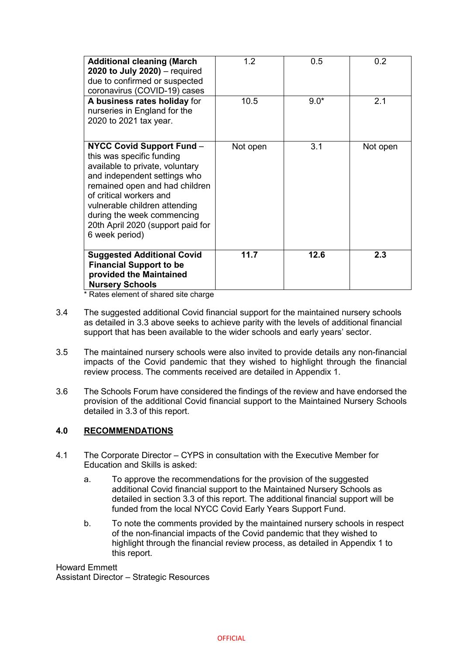| <b>Additional cleaning (March</b><br>2020 to July 2020) $-$ required<br>due to confirmed or suspected<br>coronavirus (COVID-19) cases                                                                                                                                                                               | 1.2      | 0.5    | 0.2      |
|---------------------------------------------------------------------------------------------------------------------------------------------------------------------------------------------------------------------------------------------------------------------------------------------------------------------|----------|--------|----------|
| A business rates holiday for<br>nurseries in England for the<br>2020 to 2021 tax year.                                                                                                                                                                                                                              | 10.5     | $9.0*$ | 2.1      |
| <b>NYCC Covid Support Fund -</b><br>this was specific funding<br>available to private, voluntary<br>and independent settings who<br>remained open and had children<br>of critical workers and<br>vulnerable children attending<br>during the week commencing<br>20th April 2020 (support paid for<br>6 week period) | Not open | 3.1    | Not open |
| <b>Suggested Additional Covid</b><br><b>Financial Support to be</b><br>provided the Maintained<br><b>Nursery Schools</b>                                                                                                                                                                                            | 11.7     | 12.6   | 2.3      |

\* Rates element of shared site charge

- 3.4 The suggested additional Covid financial support for the maintained nursery schools as detailed in 3.3 above seeks to achieve parity with the levels of additional financial support that has been available to the wider schools and early years' sector.
- 3.5 The maintained nursery schools were also invited to provide details any non-financial impacts of the Covid pandemic that they wished to highlight through the financial review process. The comments received are detailed in Appendix 1.
- 3.6 The Schools Forum have considered the findings of the review and have endorsed the provision of the additional Covid financial support to the Maintained Nursery Schools detailed in 3.3 of this report.

# **4.0 RECOMMENDATIONS**

- 4.1 The Corporate Director CYPS in consultation with the Executive Member for Education and Skills is asked:
	- a. To approve the recommendations for the provision of the suggested additional Covid financial support to the Maintained Nursery Schools as detailed in section 3.3 of this report. The additional financial support will be funded from the local NYCC Covid Early Years Support Fund.
	- b. To note the comments provided by the maintained nursery schools in respect of the non-financial impacts of the Covid pandemic that they wished to highlight through the financial review process, as detailed in Appendix 1 to this report.

Howard Emmett Assistant Director – Strategic Resources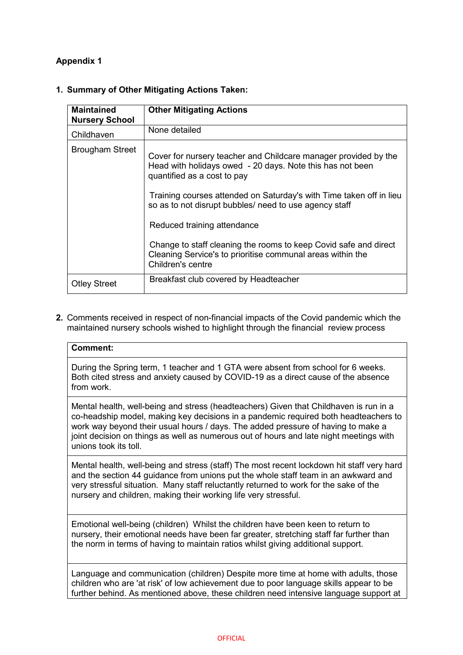# **Appendix 1**

| <b>Maintained</b><br><b>Nursery School</b> | <b>Other Mitigating Actions</b>                                                                                                                             |
|--------------------------------------------|-------------------------------------------------------------------------------------------------------------------------------------------------------------|
| Childhaven                                 | None detailed                                                                                                                                               |
| <b>Brougham Street</b>                     | Cover for nursery teacher and Childcare manager provided by the<br>Head with holidays owed - 20 days. Note this has not been<br>quantified as a cost to pay |
|                                            | Training courses attended on Saturday's with Time taken off in lieu<br>so as to not disrupt bubbles/ need to use agency staff                               |
|                                            | Reduced training attendance                                                                                                                                 |
|                                            | Change to staff cleaning the rooms to keep Covid safe and direct<br>Cleaning Service's to prioritise communal areas within the<br>Children's centre         |
| <b>Otley Street</b>                        | Breakfast club covered by Headteacher                                                                                                                       |

# **1. Summary of Other Mitigating Actions Taken:**

**2.** Comments received in respect of non-financial impacts of the Covid pandemic which the maintained nursery schools wished to highlight through the financial review process

#### **Comment:**

During the Spring term, 1 teacher and 1 GTA were absent from school for 6 weeks. Both cited stress and anxiety caused by COVID-19 as a direct cause of the absence from work.

Mental health, well-being and stress (headteachers) Given that Childhaven is run in a co-headship model, making key decisions in a pandemic required both headteachers to work way beyond their usual hours / days. The added pressure of having to make a joint decision on things as well as numerous out of hours and late night meetings with unions took its toll.

Mental health, well-being and stress (staff) The most recent lockdown hit staff very hard and the section 44 guidance from unions put the whole staff team in an awkward and very stressful situation. Many staff reluctantly returned to work for the sake of the nursery and children, making their working life very stressful.

Emotional well-being (children) Whilst the children have been keen to return to nursery, their emotional needs have been far greater, stretching staff far further than the norm in terms of having to maintain ratios whilst giving additional support.

Language and communication (children) Despite more time at home with adults, those children who are 'at risk' of low achievement due to poor language skills appear to be further behind. As mentioned above, these children need intensive language support at